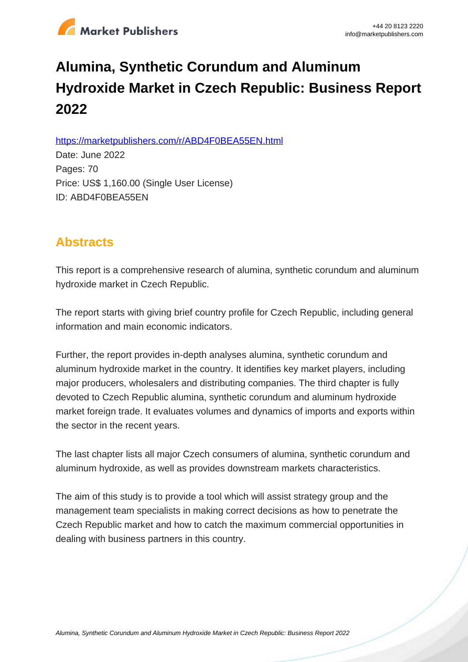

# **Alumina, Synthetic Corundum and Aluminum Hydroxide Market in Czech Republic: Business Report 2022**

https://marketpublishers.com/r/ABD4F0BEA55EN.html

Date: June 2022 Pages: 70 Price: US\$ 1,160.00 (Single User License) ID: ABD4F0BEA55EN

# **Abstracts**

This report is a comprehensive research of alumina, synthetic corundum and aluminum hydroxide market in Czech Republic.

The report starts with giving brief country profile for Czech Republic, including general information and main economic indicators.

Further, the report provides in-depth analyses alumina, synthetic corundum and aluminum hydroxide market in the country. It identifies key market players, including major producers, wholesalers and distributing companies. The third chapter is fully devoted to Czech Republic alumina, synthetic corundum and aluminum hydroxide market foreign trade. It evaluates volumes and dynamics of imports and exports within the sector in the recent years.

The last chapter lists all major Czech consumers of alumina, synthetic corundum and aluminum hydroxide, as well as provides downstream markets characteristics.

The aim of this study is to provide a tool which will assist strategy group and the management team specialists in making correct decisions as how to penetrate the Czech Republic market and how to catch the maximum commercial opportunities in dealing with business partners in this country.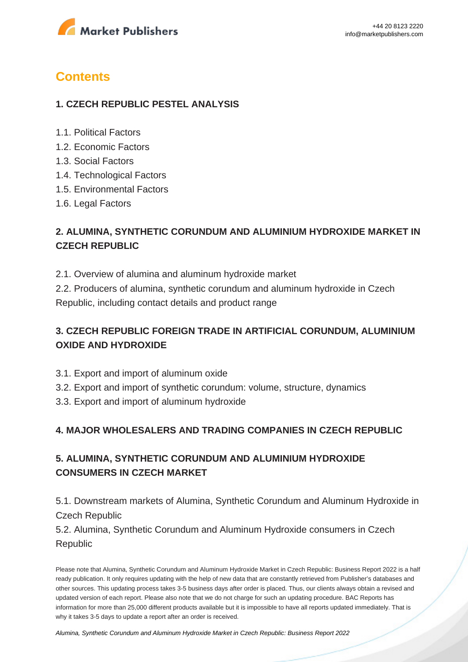

# **Contents**

#### **1. CZECH REPUBLIC PESTEL ANALYSIS**

- 1.1. Political Factors
- 1.2. Economic Factors
- 1.3. Social Factors
- 1.4. Technological Factors
- 1.5. Environmental Factors
- 1.6. Legal Factors

## **2. ALUMINA, SYNTHETIC CORUNDUM AND ALUMINIUM HYDROXIDE MARKET IN CZECH REPUBLIC**

2.1. Overview of alumina and aluminum hydroxide market

2.2. Producers of alumina, synthetic corundum and aluminum hydroxide in Czech Republic, including contact details and product range

## **3. CZECH REPUBLIC FOREIGN TRADE IN ARTIFICIAL CORUNDUM, ALUMINIUM OXIDE AND HYDROXIDE**

- 3.1. Export and import of aluminum oxide
- 3.2. Export and import of synthetic corundum: volume, structure, dynamics
- 3.3. Export and import of aluminum hydroxide

#### **4. MAJOR WHOLESALERS AND TRADING COMPANIES IN CZECH REPUBLIC**

## **5. ALUMINA, SYNTHETIC CORUNDUM AND ALUMINIUM HYDROXIDE CONSUMERS IN CZECH MARKET**

5.1. Downstream markets of Alumina, Synthetic Corundum and Aluminum Hydroxide in Czech Republic

5.2. Alumina, Synthetic Corundum and Aluminum Hydroxide consumers in Czech Republic

Please note that Alumina, Synthetic Corundum and Aluminum Hydroxide Market in Czech Republic: Business Report 2022 is a half ready publication. It only requires updating with the help of new data that are constantly retrieved from Publisher's databases and other sources. This updating process takes 3-5 business days after order is placed. Thus, our clients always obtain a revised and updated version of each report. Please also note that we do not charge for such an updating procedure. BAC Reports has information for more than 25,000 different products available but it is impossible to have all reports updated immediately. That is why it takes 3-5 days to update a report after an order is received.

[Alumina, Synthetic Corundum and Aluminum Hydroxide Market in Czech Republic: Business Report 2022](https://marketpublishers.com/report/industry/chemicals_petrochemicals/alumina_synthetic_corundum_n_aluminum_hydroxide_market_in_czech_republic_business_report.html)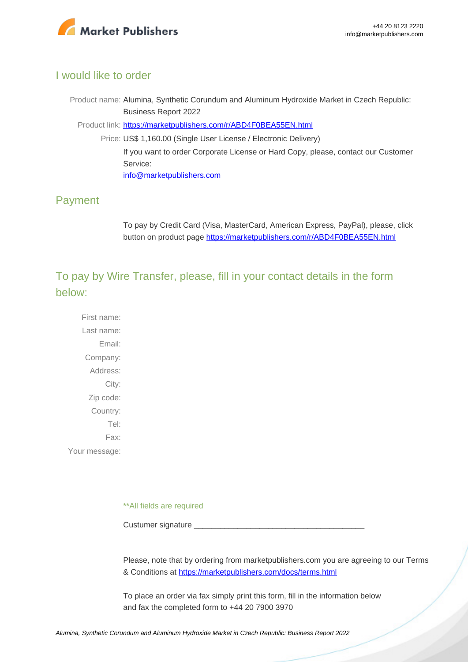

#### I would like to order

Product name: Alumina, Synthetic Corundum and Aluminum Hydroxide Market in Czech Republic: Business Report 2022

Product link: [https://marketpublishers.com/r/ABD4F0BEA55EN.html](https://marketpublishers.com/report/industry/chemicals_petrochemicals/alumina_synthetic_corundum_n_aluminum_hydroxide_market_in_czech_republic_business_report.html)

Price: US\$ 1,160.00 (Single User License / Electronic Delivery) If you want to order Corporate License or Hard Copy, please, contact our Customer Service:

[info@marketpublishers.com](mailto:info@marketpublishers.com)

#### Payment

To pay by Credit Card (Visa, MasterCard, American Express, PayPal), please, click button on product page [https://marketpublishers.com/r/ABD4F0BEA55EN.html](https://marketpublishers.com/report/industry/chemicals_petrochemicals/alumina_synthetic_corundum_n_aluminum_hydroxide_market_in_czech_republic_business_report.html)

To pay by Wire Transfer, please, fill in your contact details in the form below:

First name: Last name: Email: Company: Address: City: Zip code: Country: Tel: Fax: Your message:

\*\*All fields are required

Custumer signature

Please, note that by ordering from marketpublishers.com you are agreeing to our Terms & Conditions at<https://marketpublishers.com/docs/terms.html>

To place an order via fax simply print this form, fill in the information below and fax the completed form to +44 20 7900 3970